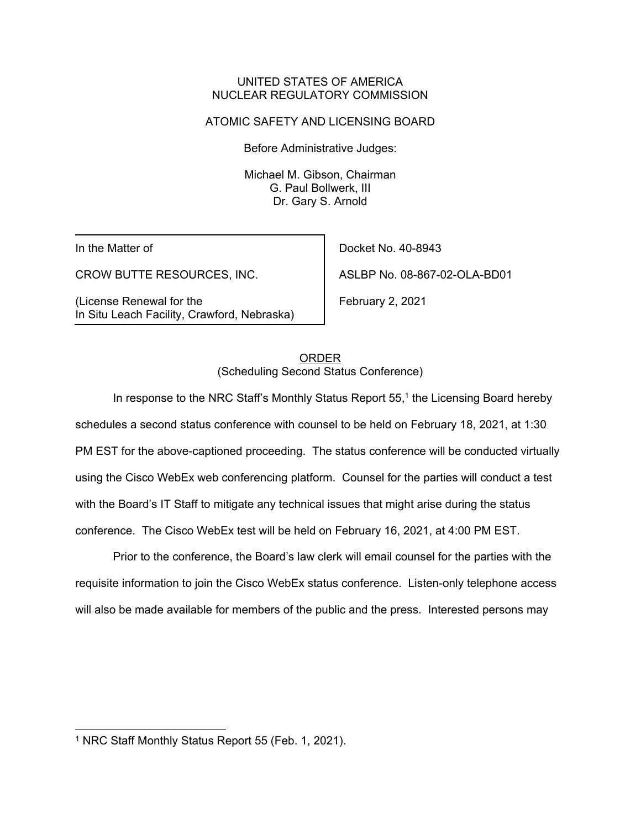### UNITED STATES OF AMERICA NUCLEAR REGULATORY COMMISSION

## ATOMIC SAFETY AND LICENSING BOARD

Before Administrative Judges:

Michael M. Gibson, Chairman G. Paul Bollwerk, III Dr. Gary S. Arnold

In the Matter of

CROW BUTTE RESOURCES, INC.

(License Renewal for the In Situ Leach Facility, Crawford, Nebraska)

Docket No. 40-8943 ASLBP No. 08-867-02-OLA-BD01

February 2, 2021

ORDER (Scheduling Second Status Conference)

In response to the NRC Staff's Monthly Status Report  $55<sup>1</sup>$  the Licensing Board hereby schedules a second status conference with counsel to be held on February 18, 2021, at 1:30 PM EST for the above-captioned proceeding. The status conference will be conducted virtually using the Cisco WebEx web conferencing platform. Counsel for the parties will conduct a test with the Board's IT Staff to mitigate any technical issues that might arise during the status conference. The Cisco WebEx test will be held on February 16, 2021, at 4:00 PM EST.

Prior to the conference, the Board's law clerk will email counsel for the parties with the requisite information to join the Cisco WebEx status conference. Listen-only telephone access will also be made available for members of the public and the press. Interested persons may

<sup>1</sup> NRC Staff Monthly Status Report 55 (Feb. 1, 2021).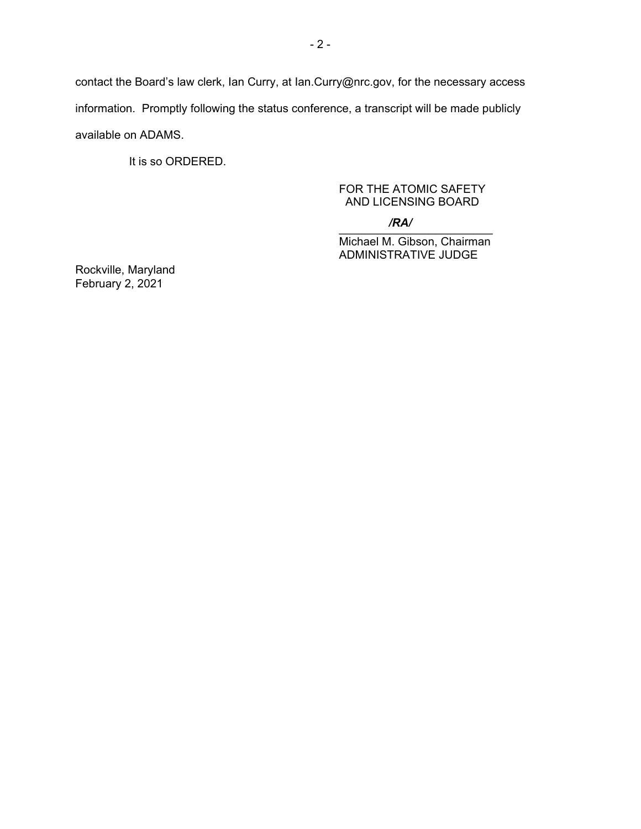contact the Board's law clerk, Ian Curry, at Ian.Curry@nrc.gov, for the necessary access information. Promptly following the status conference, a transcript will be made publicly available on ADAMS.

It is so ORDERED.

## FOR THE ATOMIC SAFETY AND LICENSING BOARD

#### $\overline{X}$ */RA/*

Michael M. Gibson, Chairman ADMINISTRATIVE JUDGE

Rockville, Maryland February 2, 2021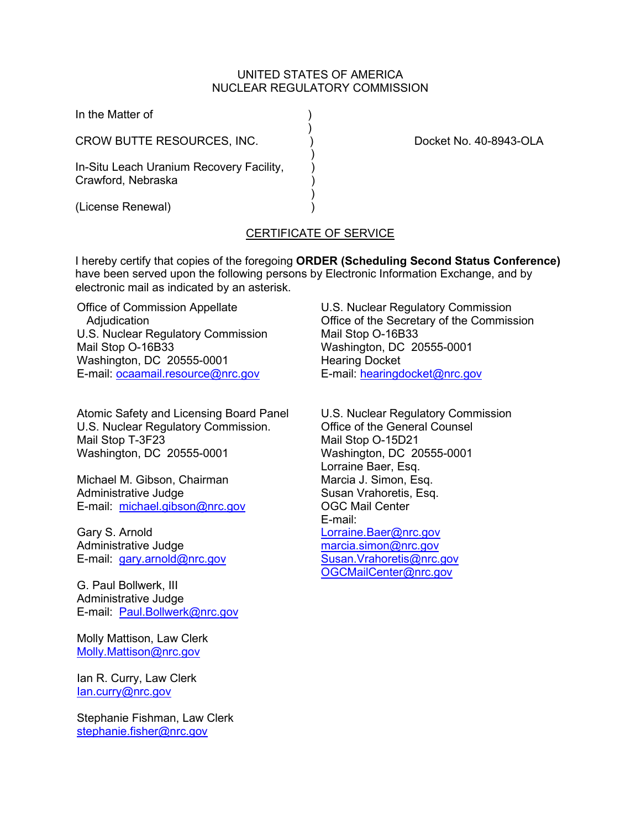### UNITED STATES OF AMERICA NUCLEAR REGULATORY COMMISSION

| In the Matter of                                               |                        |
|----------------------------------------------------------------|------------------------|
| CROW BUTTE RESOURCES, INC.                                     | Docket No. 40-8943-OLA |
| In-Situ Leach Uranium Recovery Facility,<br>Crawford, Nebraska |                        |
| (License Renewal)                                              |                        |

# CERTIFICATE OF SERVICE

I hereby certify that copies of the foregoing **ORDER (Scheduling Second Status Conference)** have been served upon the following persons by Electronic Information Exchange, and by electronic mail as indicated by an asterisk.

Office of Commission Appellate Adjudication U.S. Nuclear Regulatory Commission Mail Stop O-16B33 Washington, DC 20555-0001 E-mail: [ocaamail.resource@nrc.gov](mailto:ocaamail.resource@nrc.gov)

Atomic Safety and Licensing Board Panel U.S. Nuclear Regulatory Commission. Mail Stop T-3F23 Washington, DC 20555-0001

Michael M. Gibson, Chairman Administrative Judge E-mail: [michael.gibson@nrc.gov](mailto:michael.gibson@nrc.gov)

Gary S. Arnold Administrative Judge E-mail: [gary.arnold@nrc.gov](mailto:gary.arnold@nrc.gov)

G. Paul Bollwerk, III Administrative Judge E-mail: [Paul.Bollwerk@nrc.gov](mailto:Paul.Bollwerk@nrc.gov)

Molly Mattison, Law Clerk [Molly.Mattison@nrc.gov](mailto:Molly.Mattison@nrc.gov)

Ian R. Curry, Law Clerk [Ian.curry@nrc.gov](mailto:Ian.curry@nrc.gov)

Stephanie Fishman, Law Clerk [stephanie.fisher@nrc.gov](mailto:stephanie.fisher@nrc.gov)

U.S. Nuclear Regulatory Commission Office of the Secretary of the Commission Mail Stop O-16B33 Washington, DC 20555-0001 Hearing Docket E-mail: [hearingdocket@nrc.gov](mailto:hearingdocket@nrc.gov)

U.S. Nuclear Regulatory Commission Office of the General Counsel Mail Stop O-15D21 Washington, DC 20555-0001 Lorraine Baer, Esq. Marcia J. Simon, Esq. Susan Vrahoretis, Esq. OGC Mail Center E-mail: [Lorraine.Baer@nrc.gov](mailto:Lorraine.Baer@nrc.gov) [marcia.simon@nrc.gov](mailto:marcia.simon@nrc.gov) [Susan.Vrahoretis@nrc.gov](mailto:Susan.Vrahoretis@nrc.gov) [OGCMailCenter@nrc.gov](mailto:OGCMailCenter@nrc.go)